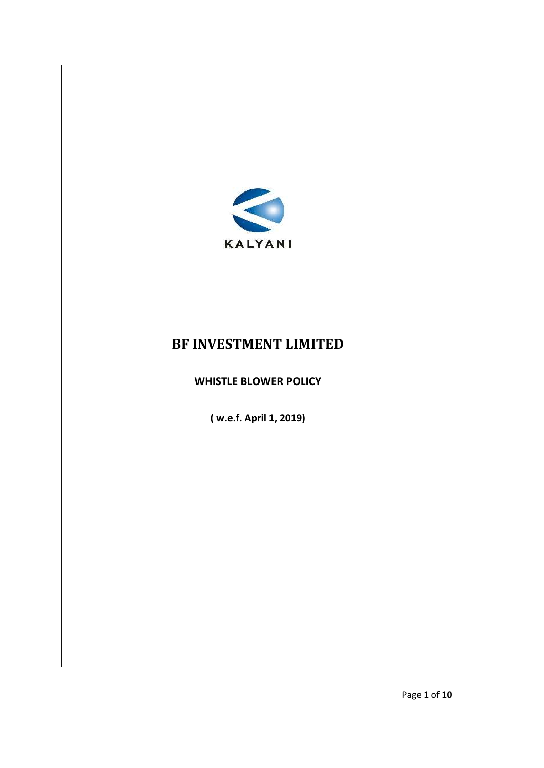

# **BF INVESTMENT LIMITED**

# **WHISTLE BLOWER POLICY**

**( w.e.f. April 1, 2019)**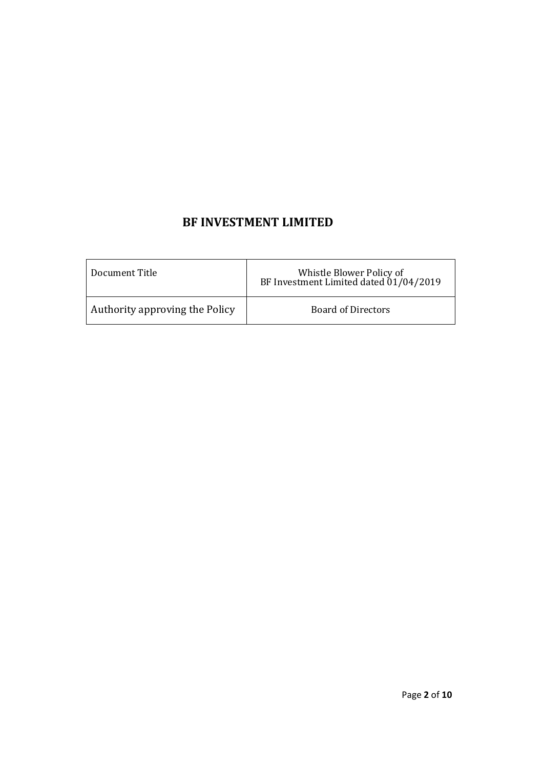# **BF INVESTMENT LIMITED**

| Document Title                 | Whistle Blower Policy of<br>BF Investment Limited dated 01/04/2019 |
|--------------------------------|--------------------------------------------------------------------|
| Authority approving the Policy | <b>Board of Directors</b>                                          |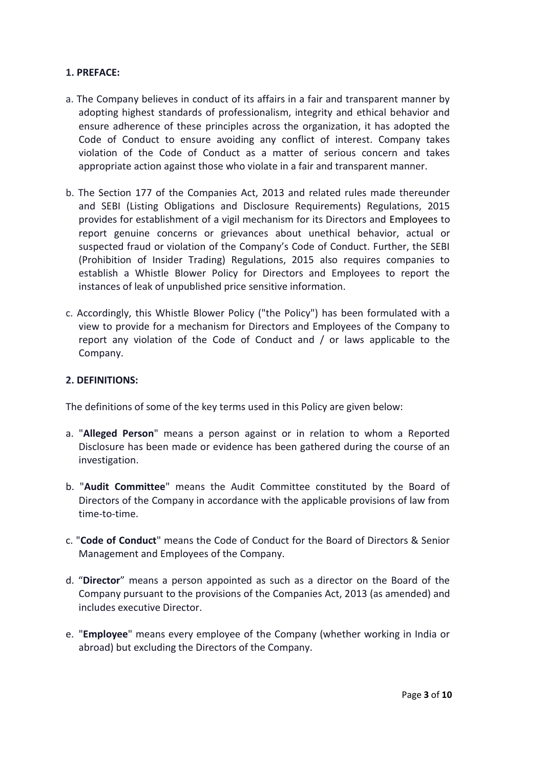#### **1. PREFACE:**

- a. The Company believes in conduct of its affairs in a fair and transparent manner by adopting highest standards of professionalism, integrity and ethical behavior and ensure adherence of these principles across the organization, it has adopted the Code of Conduct to ensure avoiding any conflict of interest. Company takes violation of the Code of Conduct as a matter of serious concern and takes appropriate action against those who violate in a fair and transparent manner.
- b. The Section 177 of the Companies Act, 2013 and related rules made thereunder and SEBI (Listing Obligations and Disclosure Requirements) Regulations, 2015 provides for establishment of a vigil mechanism for its Directors and Employees to report genuine concerns or grievances about unethical behavior, actual or suspected fraud or violation of the Company's Code of Conduct. Further, the SEBI (Prohibition of Insider Trading) Regulations, 2015 also requires companies to establish a Whistle Blower Policy for Directors and Employees to report the instances of leak of unpublished price sensitive information.
- c. Accordingly, this Whistle Blower Policy ("the Policy") has been formulated with a view to provide for a mechanism for Directors and Employees of the Company to report any violation of the Code of Conduct and / or laws applicable to the Company.

#### **2. DEFINITIONS:**

The definitions of some of the key terms used in this Policy are given below:

- a. "**Alleged Person**" means a person against or in relation to whom a Reported Disclosure has been made or evidence has been gathered during the course of an investigation.
- b. "**Audit Committee**" means the Audit Committee constituted by the Board of Directors of the Company in accordance with the applicable provisions of law from time-to-time.
- c. "**Code of Conduct**" means the Code of Conduct for the Board of Directors & Senior Management and Employees of the Company.
- d. "**Director**" means a person appointed as such as a director on the Board of the Company pursuant to the provisions of the Companies Act, 2013 (as amended) and includes executive Director.
- e. "**Employee**" means every employee of the Company (whether working in India or abroad) but excluding the Directors of the Company.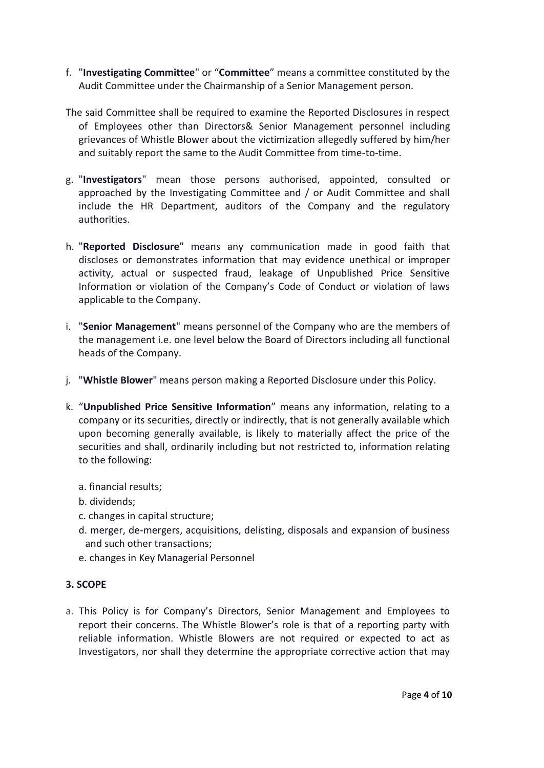- f. "**Investigating Committee**" or "**Committee**" means a committee constituted by the Audit Committee under the Chairmanship of a Senior Management person.
- The said Committee shall be required to examine the Reported Disclosures in respect of Employees other than Directors& Senior Management personnel including grievances of Whistle Blower about the victimization allegedly suffered by him/her and suitably report the same to the Audit Committee from time-to-time.
- g. "**Investigators**" mean those persons authorised, appointed, consulted or approached by the Investigating Committee and / or Audit Committee and shall include the HR Department, auditors of the Company and the regulatory authorities.
- h. "**Reported Disclosure**" means any communication made in good faith that discloses or demonstrates information that may evidence unethical or improper activity, actual or suspected fraud, leakage of Unpublished Price Sensitive Information or violation of the Company's Code of Conduct or violation of laws applicable to the Company.
- i. "**Senior Management**" means personnel of the Company who are the members of the management i.e. one level below the Board of Directors including all functional heads of the Company.
- j. "**Whistle Blower**" means person making a Reported Disclosure under this Policy.
- k. "**Unpublished Price Sensitive Information**" means any information, relating to a company or its securities, directly or indirectly, that is not generally available which upon becoming generally available, is likely to materially affect the price of the securities and shall, ordinarily including but not restricted to, information relating to the following:
	- a. financial results;
	- b. dividends;
	- c. changes in capital structure;
	- d. merger, de-mergers, acquisitions, delisting, disposals and expansion of business and such other transactions;
	- e. changes in Key Managerial Personnel

# **3. SCOPE**

a. This Policy is for Company's Directors, Senior Management and Employees to report their concerns. The Whistle Blower's role is that of a reporting party with reliable information. Whistle Blowers are not required or expected to act as Investigators, nor shall they determine the appropriate corrective action that may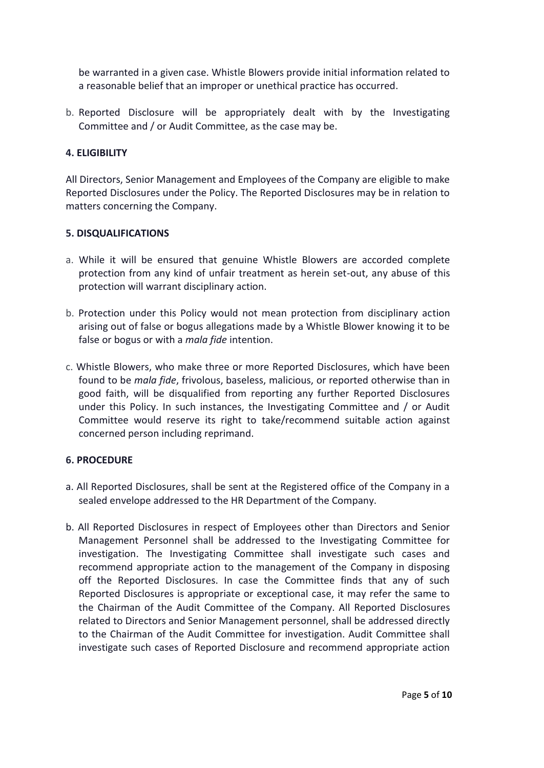be warranted in a given case. Whistle Blowers provide initial information related to a reasonable belief that an improper or unethical practice has occurred.

b. Reported Disclosure will be appropriately dealt with by the Investigating Committee and / or Audit Committee, as the case may be.

#### **4. ELIGIBILITY**

All Directors, Senior Management and Employees of the Company are eligible to make Reported Disclosures under the Policy. The Reported Disclosures may be in relation to matters concerning the Company.

#### **5. DISQUALIFICATIONS**

- a. While it will be ensured that genuine Whistle Blowers are accorded complete protection from any kind of unfair treatment as herein set-out, any abuse of this protection will warrant disciplinary action.
- b. Protection under this Policy would not mean protection from disciplinary action arising out of false or bogus allegations made by a Whistle Blower knowing it to be false or bogus or with a *mala fide* intention.
- c. Whistle Blowers, who make three or more Reported Disclosures, which have been found to be *mala fide*, frivolous, baseless, malicious, or reported otherwise than in good faith, will be disqualified from reporting any further Reported Disclosures under this Policy. In such instances, the Investigating Committee and / or Audit Committee would reserve its right to take/recommend suitable action against concerned person including reprimand.

# **6. PROCEDURE**

- a. All Reported Disclosures, shall be sent at the Registered office of the Company in a sealed envelope addressed to the HR Department of the Company.
- b. All Reported Disclosures in respect of Employees other than Directors and Senior Management Personnel shall be addressed to the Investigating Committee for investigation. The Investigating Committee shall investigate such cases and recommend appropriate action to the management of the Company in disposing off the Reported Disclosures. In case the Committee finds that any of such Reported Disclosures is appropriate or exceptional case, it may refer the same to the Chairman of the Audit Committee of the Company. All Reported Disclosures related to Directors and Senior Management personnel, shall be addressed directly to the Chairman of the Audit Committee for investigation. Audit Committee shall investigate such cases of Reported Disclosure and recommend appropriate action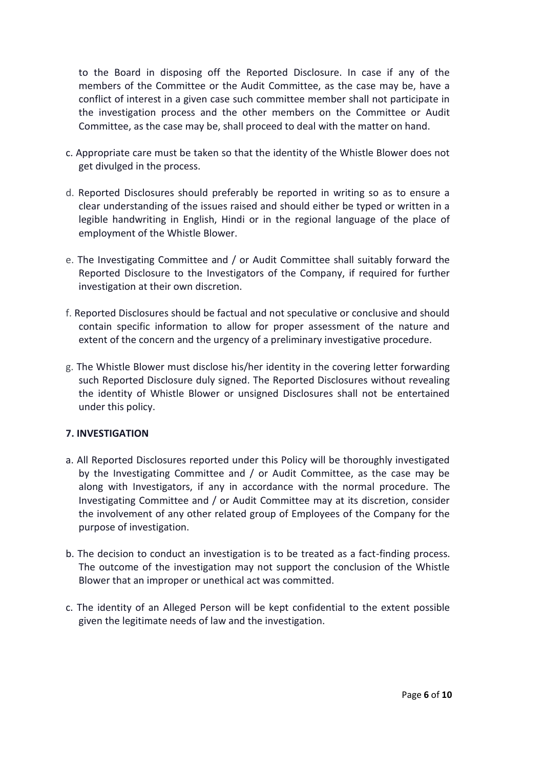to the Board in disposing off the Reported Disclosure. In case if any of the members of the Committee or the Audit Committee, as the case may be, have a conflict of interest in a given case such committee member shall not participate in the investigation process and the other members on the Committee or Audit Committee, as the case may be, shall proceed to deal with the matter on hand.

- c. Appropriate care must be taken so that the identity of the Whistle Blower does not get divulged in the process.
- d. Reported Disclosures should preferably be reported in writing so as to ensure a clear understanding of the issues raised and should either be typed or written in a legible handwriting in English, Hindi or in the regional language of the place of employment of the Whistle Blower.
- e. The Investigating Committee and / or Audit Committee shall suitably forward the Reported Disclosure to the Investigators of the Company, if required for further investigation at their own discretion.
- f. Reported Disclosures should be factual and not speculative or conclusive and should contain specific information to allow for proper assessment of the nature and extent of the concern and the urgency of a preliminary investigative procedure.
- g. The Whistle Blower must disclose his/her identity in the covering letter forwarding such Reported Disclosure duly signed. The Reported Disclosures without revealing the identity of Whistle Blower or unsigned Disclosures shall not be entertained under this policy.

# **7. INVESTIGATION**

- a. All Reported Disclosures reported under this Policy will be thoroughly investigated by the Investigating Committee and / or Audit Committee, as the case may be along with Investigators, if any in accordance with the normal procedure. The Investigating Committee and / or Audit Committee may at its discretion, consider the involvement of any other related group of Employees of the Company for the purpose of investigation.
- b. The decision to conduct an investigation is to be treated as a fact-finding process. The outcome of the investigation may not support the conclusion of the Whistle Blower that an improper or unethical act was committed.
- c. The identity of an Alleged Person will be kept confidential to the extent possible given the legitimate needs of law and the investigation.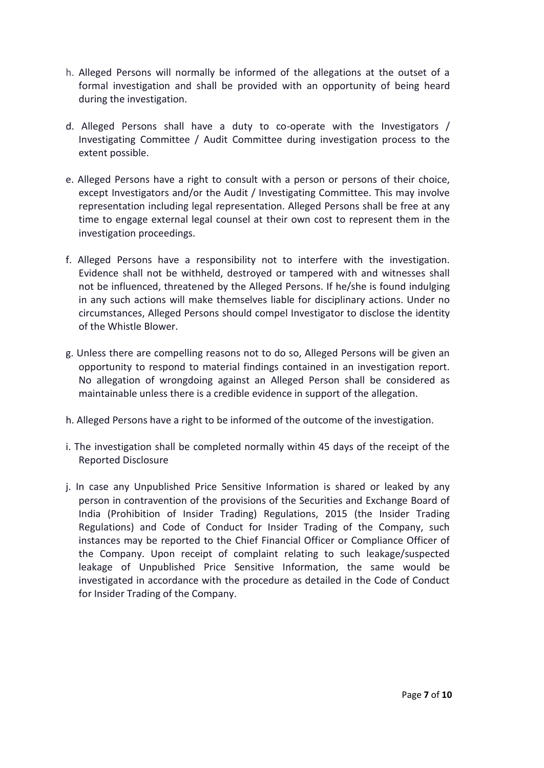- h. Alleged Persons will normally be informed of the allegations at the outset of a formal investigation and shall be provided with an opportunity of being heard during the investigation.
- d. Alleged Persons shall have a duty to co-operate with the Investigators / Investigating Committee / Audit Committee during investigation process to the extent possible.
- e. Alleged Persons have a right to consult with a person or persons of their choice, except Investigators and/or the Audit / Investigating Committee. This may involve representation including legal representation. Alleged Persons shall be free at any time to engage external legal counsel at their own cost to represent them in the investigation proceedings.
- f. Alleged Persons have a responsibility not to interfere with the investigation. Evidence shall not be withheld, destroyed or tampered with and witnesses shall not be influenced, threatened by the Alleged Persons. If he/she is found indulging in any such actions will make themselves liable for disciplinary actions. Under no circumstances, Alleged Persons should compel Investigator to disclose the identity of the Whistle Blower.
- g. Unless there are compelling reasons not to do so, Alleged Persons will be given an opportunity to respond to material findings contained in an investigation report. No allegation of wrongdoing against an Alleged Person shall be considered as maintainable unless there is a credible evidence in support of the allegation.
- h. Alleged Persons have a right to be informed of the outcome of the investigation.
- i. The investigation shall be completed normally within 45 days of the receipt of the Reported Disclosure
- j. In case any Unpublished Price Sensitive Information is shared or leaked by any person in contravention of the provisions of the Securities and Exchange Board of India (Prohibition of Insider Trading) Regulations, 2015 (the Insider Trading Regulations) and Code of Conduct for Insider Trading of the Company, such instances may be reported to the Chief Financial Officer or Compliance Officer of the Company. Upon receipt of complaint relating to such leakage/suspected leakage of Unpublished Price Sensitive Information, the same would be investigated in accordance with the procedure as detailed in the Code of Conduct for Insider Trading of the Company.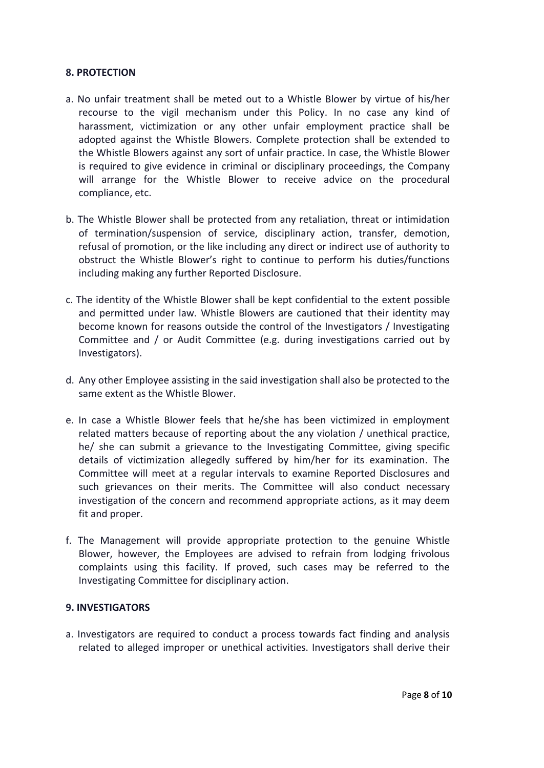#### **8. PROTECTION**

- a. No unfair treatment shall be meted out to a Whistle Blower by virtue of his/her recourse to the vigil mechanism under this Policy. In no case any kind of harassment, victimization or any other unfair employment practice shall be adopted against the Whistle Blowers. Complete protection shall be extended to the Whistle Blowers against any sort of unfair practice. In case, the Whistle Blower is required to give evidence in criminal or disciplinary proceedings, the Company will arrange for the Whistle Blower to receive advice on the procedural compliance, etc.
- b. The Whistle Blower shall be protected from any retaliation, threat or intimidation of termination/suspension of service, disciplinary action, transfer, demotion, refusal of promotion, or the like including any direct or indirect use of authority to obstruct the Whistle Blower's right to continue to perform his duties/functions including making any further Reported Disclosure.
- c. The identity of the Whistle Blower shall be kept confidential to the extent possible and permitted under law. Whistle Blowers are cautioned that their identity may become known for reasons outside the control of the Investigators / Investigating Committee and / or Audit Committee (e.g. during investigations carried out by Investigators).
- d. Any other Employee assisting in the said investigation shall also be protected to the same extent as the Whistle Blower.
- e. In case a Whistle Blower feels that he/she has been victimized in employment related matters because of reporting about the any violation / unethical practice, he/ she can submit a grievance to the Investigating Committee, giving specific details of victimization allegedly suffered by him/her for its examination. The Committee will meet at a regular intervals to examine Reported Disclosures and such grievances on their merits. The Committee will also conduct necessary investigation of the concern and recommend appropriate actions, as it may deem fit and proper.
- f. The Management will provide appropriate protection to the genuine Whistle Blower, however, the Employees are advised to refrain from lodging frivolous complaints using this facility. If proved, such cases may be referred to the Investigating Committee for disciplinary action.

#### **9. INVESTIGATORS**

a. Investigators are required to conduct a process towards fact finding and analysis related to alleged improper or unethical activities. Investigators shall derive their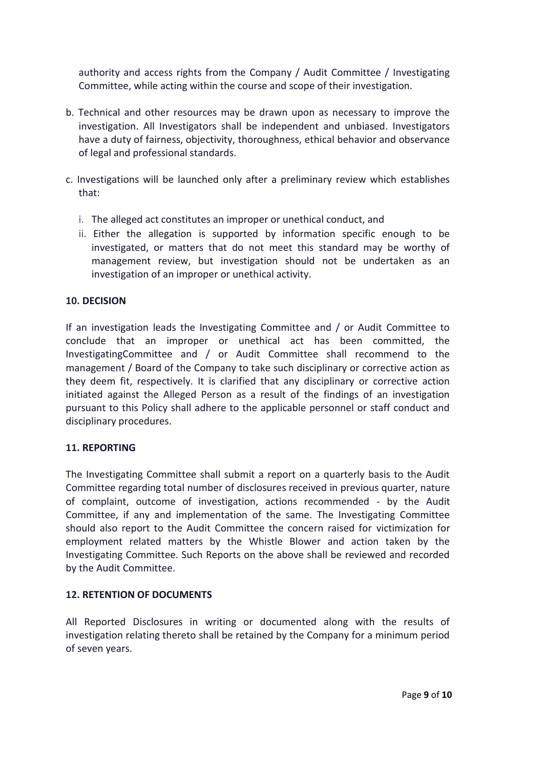authority and access rights from the Company / Audit Committee / Investigating Committee, while acting within the course and scope of their investigation.

- b. Technical and other resources may be drawn upon as necessary to improve the investigation. All Investigators shall be independent and unbiased. Investigators have a duty of fairness, objectivity, thoroughness, ethical behavior and observance of legal and professional standards.
- c. Investigations will be launched only after a preliminary review which establishes that:
	- i. The alleged act constitutes an improper or unethical conduct, and
	- ii. Either the allegation is supported by information specific enough to be investigated, or matters that do not meet this standard may be worthy of management review, but investigation should not be undertaken as an investigation of an improper or unethical activity.

# **10. DECISION**

If an investigation leads the Investigating Committee and / or Audit Committee to conclude that an improper or unethical act has been committed, the InvestigatingCommittee and / or Audit Committee shall recommend to the management / Board of the Company to take such disciplinary or corrective action as they deem fit, respectively. It is clarified that any disciplinary or corrective action initiated against the Alleged Person as a result of the findings of an investigation pursuant to this Policy shall adhere to the applicable personnel or staff conduct and disciplinary procedures.

# **11. REPORTING**

The Investigating Committee shall submit a report on a quarterly basis to the Audit Committee regarding total number of disclosures received in previous quarter, nature of complaint, outcome of investigation, actions recommended - by the Audit Committee, if any and implementation of the same. The Investigating Committee should also report to the Audit Committee the concern raised for victimization for employment related matters by the Whistle Blower and action taken by the Investigating Committee. Such Reports on the above shall be reviewed and recorded by the Audit Committee.

# **12. RETENTION OF DOCUMENTS**

All Reported Disclosures in writing or documented along with the results of investigation relating thereto shall be retained by the Company for a minimum period of seven years.